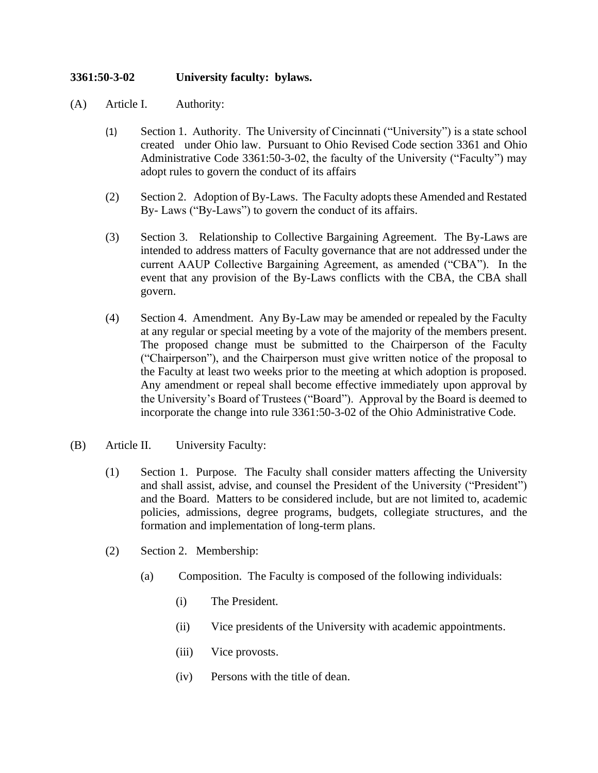## **3361:50-3-02 University faculty: bylaws.**

- (A) Article I. Authority:
	- (1) Section 1. Authority. The University of Cincinnati ("University") is a state school created under Ohio law. Pursuant to Ohio Revised Code section 3361 and Ohio Administrative Code 3361:50-3-02, the faculty of the University ("Faculty") may adopt rules to govern the conduct of its affairs
	- (2) Section 2. Adoption of By-Laws. The Faculty adopts these Amended and Restated By- Laws ("By-Laws") to govern the conduct of its affairs.
	- (3) Section 3. Relationship to Collective Bargaining Agreement. The By-Laws are intended to address matters of Faculty governance that are not addressed under the current AAUP Collective Bargaining Agreement, as amended ("CBA"). In the event that any provision of the By-Laws conflicts with the CBA, the CBA shall govern.
	- (4) Section 4. Amendment. Any By-Law may be amended or repealed by the Faculty at any regular or special meeting by a vote of the majority of the members present. The proposed change must be submitted to the Chairperson of the Faculty ("Chairperson"), and the Chairperson must give written notice of the proposal to the Faculty at least two weeks prior to the meeting at which adoption is proposed. Any amendment or repeal shall become effective immediately upon approval by the University's Board of Trustees ("Board"). Approval by the Board is deemed to incorporate the change into rule 3361:50-3-02 of the Ohio Administrative Code.
- (B) Article II. University Faculty:
	- (1) Section 1. Purpose. The Faculty shall consider matters affecting the University and shall assist, advise, and counsel the President of the University ("President") and the Board. Matters to be considered include, but are not limited to, academic policies, admissions, degree programs, budgets, collegiate structures, and the formation and implementation of long-term plans.
	- (2) Section 2. Membership:
		- (a) Composition. The Faculty is composed of the following individuals:
			- (i) The President.
			- (ii) Vice presidents of the University with academic appointments.
			- (iii) Vice provosts.
			- (iv) Persons with the title of dean.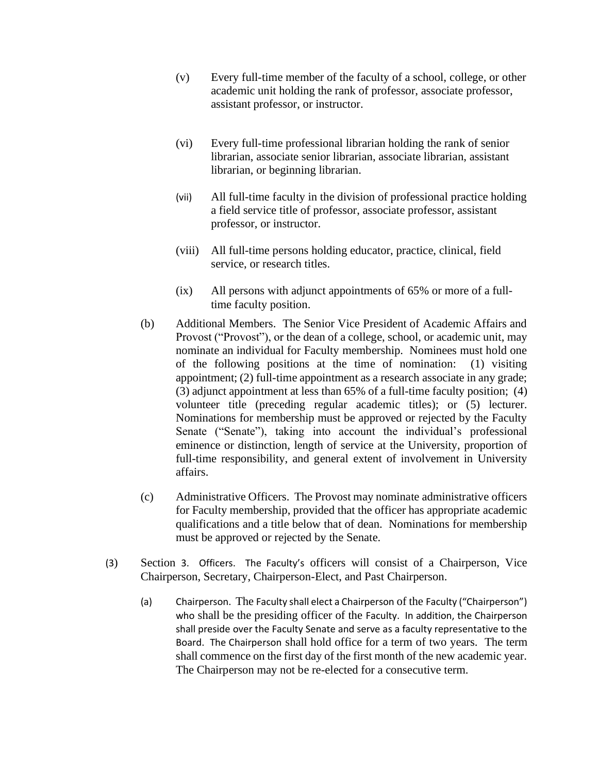- (v) Every full-time member of the faculty of a school, college, or other academic unit holding the rank of professor, associate professor, assistant professor, or instructor.
- (vi) Every full-time professional librarian holding the rank of senior librarian, associate senior librarian, associate librarian, assistant librarian, or beginning librarian.
- (vii) All full-time faculty in the division of professional practice holding a field service title of professor, associate professor, assistant professor, or instructor.
- (viii) All full-time persons holding educator, practice, clinical, field service, or research titles.
- (ix) All persons with adjunct appointments of 65% or more of a fulltime faculty position.
- (b) Additional Members. The Senior Vice President of Academic Affairs and Provost ("Provost"), or the dean of a college, school, or academic unit, may nominate an individual for Faculty membership. Nominees must hold one of the following positions at the time of nomination: (1) visiting appointment; (2) full-time appointment as a research associate in any grade; (3) adjunct appointment at less than 65% of a full-time faculty position; (4) volunteer title (preceding regular academic titles); or (5) lecturer. Nominations for membership must be approved or rejected by the Faculty Senate ("Senate"), taking into account the individual's professional eminence or distinction, length of service at the University, proportion of full-time responsibility, and general extent of involvement in University affairs.
- (c) Administrative Officers. The Provost may nominate administrative officers for Faculty membership, provided that the officer has appropriate academic qualifications and a title below that of dean. Nominations for membership must be approved or rejected by the Senate.
- (3) Section 3. Officers. The Faculty's officers will consist of a Chairperson, Vice Chairperson, Secretary, Chairperson-Elect, and Past Chairperson.
	- (a) Chairperson. The Faculty shall elect a Chairperson of the Faculty ("Chairperson") who shall be the presiding officer of the Faculty. In addition, the Chairperson shall preside over the Faculty Senate and serve as a faculty representative to the Board. The Chairperson shall hold office for a term of two years. The term shall commence on the first day of the first month of the new academic year. The Chairperson may not be re-elected for a consecutive term.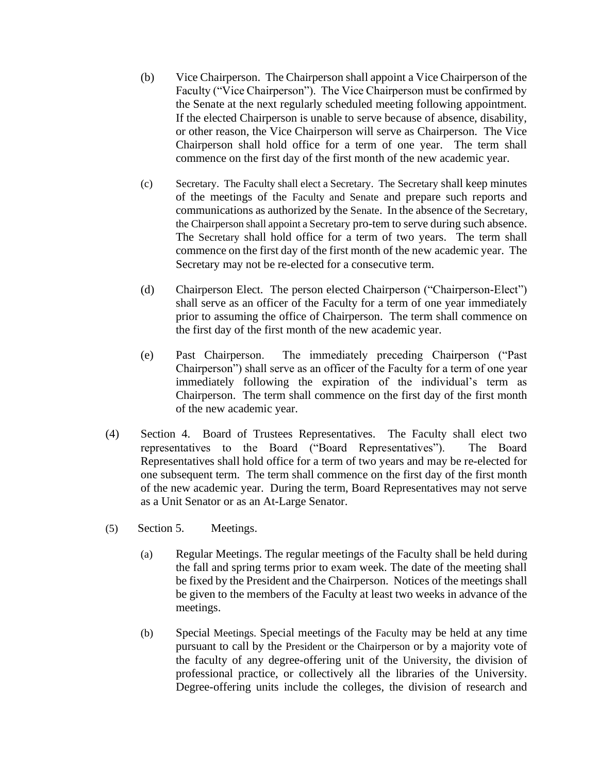- (b) Vice Chairperson. The Chairperson shall appoint a Vice Chairperson of the Faculty ("Vice Chairperson"). The Vice Chairperson must be confirmed by the Senate at the next regularly scheduled meeting following appointment. If the elected Chairperson is unable to serve because of absence, disability, or other reason, the Vice Chairperson will serve as Chairperson. The Vice Chairperson shall hold office for a term of one year. The term shall commence on the first day of the first month of the new academic year.
- (c) Secretary. The Faculty shall elect a Secretary. The Secretary shall keep minutes of the meetings of the Faculty and Senate and prepare such reports and communications as authorized by the Senate. In the absence of the Secretary, the Chairperson shall appoint a Secretary pro-tem to serve during such absence. The Secretary shall hold office for a term of two years. The term shall commence on the first day of the first month of the new academic year. The Secretary may not be re-elected for a consecutive term.
- (d) Chairperson Elect. The person elected Chairperson ("Chairperson-Elect") shall serve as an officer of the Faculty for a term of one year immediately prior to assuming the office of Chairperson. The term shall commence on the first day of the first month of the new academic year.
- (e) Past Chairperson. The immediately preceding Chairperson ("Past Chairperson") shall serve as an officer of the Faculty for a term of one year immediately following the expiration of the individual's term as Chairperson. The term shall commence on the first day of the first month of the new academic year.
- (4) Section 4. Board of Trustees Representatives. The Faculty shall elect two representatives to the Board ("Board Representatives"). The Board Representatives shall hold office for a term of two years and may be re-elected for one subsequent term. The term shall commence on the first day of the first month of the new academic year. During the term, Board Representatives may not serve as a Unit Senator or as an At-Large Senator.
- (5) Section 5. Meetings.
	- (a) Regular Meetings. The regular meetings of the Faculty shall be held during the fall and spring terms prior to exam week. The date of the meeting shall be fixed by the President and the Chairperson. Notices of the meetings shall be given to the members of the Faculty at least two weeks in advance of the meetings.
	- (b) Special Meetings. Special meetings of the Faculty may be held at any time pursuant to call by the President or the Chairperson or by a majority vote of the faculty of any degree-offering unit of the University, the division of professional practice, or collectively all the libraries of the University. Degree-offering units include the colleges, the division of research and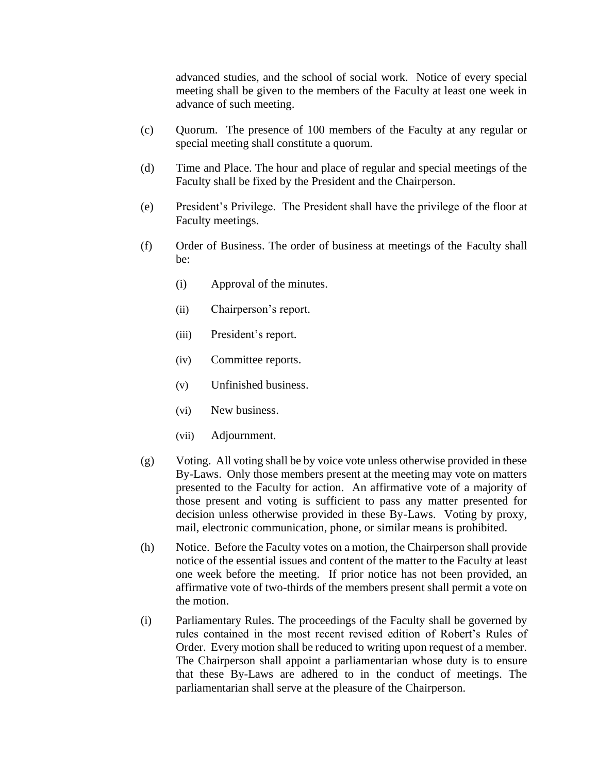advanced studies, and the school of social work. Notice of every special meeting shall be given to the members of the Faculty at least one week in advance of such meeting.

- (c) Quorum. The presence of 100 members of the Faculty at any regular or special meeting shall constitute a quorum.
- (d) Time and Place. The hour and place of regular and special meetings of the Faculty shall be fixed by the President and the Chairperson.
- (e) President's Privilege. The President shall have the privilege of the floor at Faculty meetings.
- (f) Order of Business. The order of business at meetings of the Faculty shall be:
	- (i) Approval of the minutes.
	- (ii) Chairperson's report.
	- (iii) President's report.
	- (iv) Committee reports.
	- (v) Unfinished business.
	- (vi) New business.
	- (vii) Adjournment.
- (g) Voting.All voting shall be by voice vote unless otherwise provided in these By-Laws. Only those members present at the meeting may vote on matters presented to the Faculty for action. An affirmative vote of a majority of those present and voting is sufficient to pass any matter presented for decision unless otherwise provided in these By-Laws. Voting by proxy, mail, electronic communication, phone, or similar means is prohibited.
- (h) Notice.Before the Faculty votes on a motion, the Chairperson shall provide notice of the essential issues and content of the matter to the Faculty at least one week before the meeting. If prior notice has not been provided, an affirmative vote of two-thirds of the members present shall permit a vote on the motion.
- (i) Parliamentary Rules. The proceedings of the Faculty shall be governed by rules contained in the most recent revised edition of Robert's Rules of Order. Every motion shall be reduced to writing upon request of a member. The Chairperson shall appoint a parliamentarian whose duty is to ensure that these By-Laws are adhered to in the conduct of meetings. The parliamentarian shall serve at the pleasure of the Chairperson.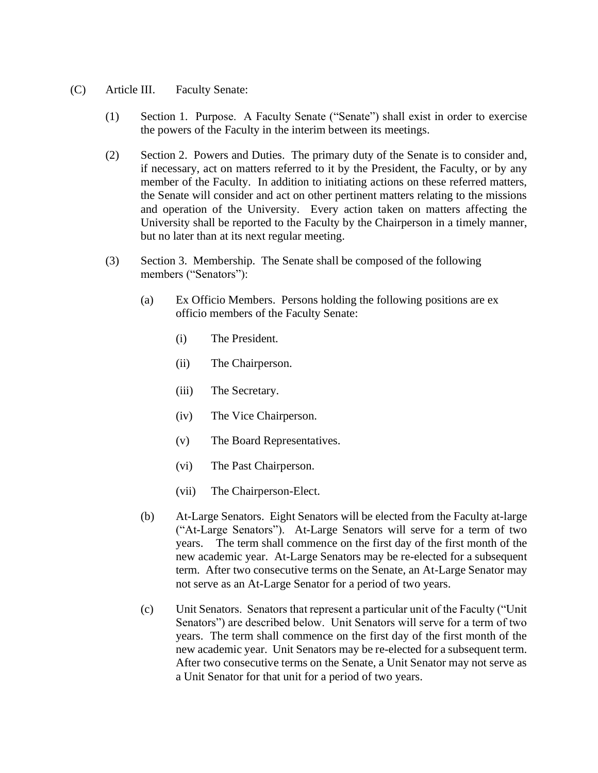- (C) Article III. Faculty Senate:
	- (1) Section 1. Purpose. A Faculty Senate ("Senate") shall exist in order to exercise the powers of the Faculty in the interim between its meetings.
	- (2) Section 2. Powers and Duties. The primary duty of the Senate is to consider and, if necessary, act on matters referred to it by the President, the Faculty, or by any member of the Faculty. In addition to initiating actions on these referred matters, the Senate will consider and act on other pertinent matters relating to the missions and operation of the University. Every action taken on matters affecting the University shall be reported to the Faculty by the Chairperson in a timely manner, but no later than at its next regular meeting.
	- (3) Section 3. Membership. The Senate shall be composed of the following members ("Senators"):
		- (a) Ex Officio Members. Persons holding the following positions are ex officio members of the Faculty Senate:
			- (i) The President.
			- (ii) The Chairperson.
			- (iii) The Secretary.
			- (iv) The Vice Chairperson.
			- (v) The Board Representatives.
			- (vi) The Past Chairperson.
			- (vii) The Chairperson-Elect.
		- (b) At-Large Senators.Eight Senators will be elected from the Faculty at-large ("At-Large Senators").At-Large Senators will serve for a term of two years.The term shall commence on the first day of the first month of the new academic year. At-Large Senators may be re-elected for a subsequent term. After two consecutive terms on the Senate, an At-Large Senator may not serve as an At-Large Senator for a period of two years.
		- (c) Unit Senators. Senators that represent a particular unit of the Faculty ("Unit Senators") are described below. Unit Senators will serve for a term of two years. The term shall commence on the first day of the first month of the new academic year. Unit Senators may be re-elected for a subsequent term. After two consecutive terms on the Senate, a Unit Senator may not serve as a Unit Senator for that unit for a period of two years.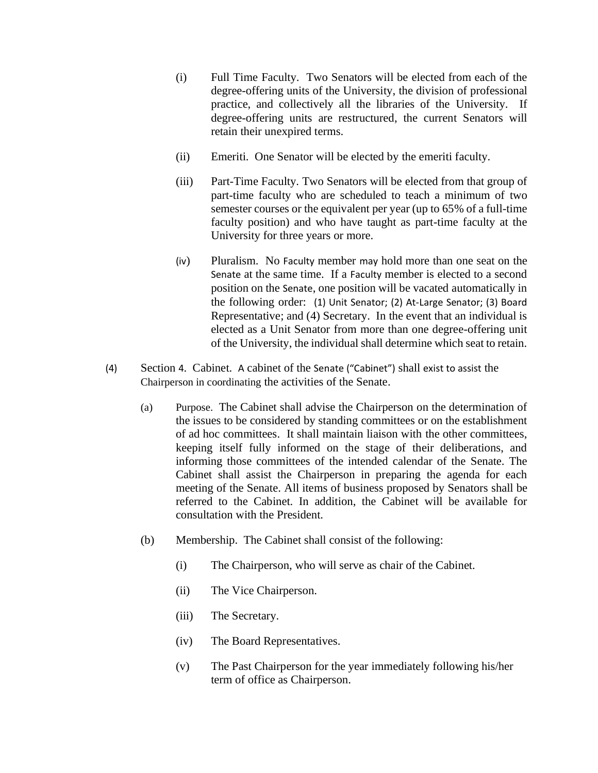- (i) Full Time Faculty. Two Senators will be elected from each of the degree-offering units of the University, the division of professional practice, and collectively all the libraries of the University. If degree-offering units are restructured, the current Senators will retain their unexpired terms.
- (ii) Emeriti. One Senator will be elected by the emeriti faculty.
- (iii) Part-Time Faculty. Two Senators will be elected from that group of part-time faculty who are scheduled to teach a minimum of two semester courses or the equivalent per year (up to 65% of a full-time faculty position) and who have taught as part-time faculty at the University for three years or more.
- (iv) Pluralism. No Faculty member may hold more than one seat on the Senate at the same time. If a Faculty member is elected to a second position on the Senate, one position will be vacated automatically in the following order: (1) Unit Senator; (2) At-Large Senator; (3) Board Representative; and (4) Secretary. In the event that an individual is elected as a Unit Senator from more than one degree-offering unit of the University, the individual shall determine which seat to retain.
- (4) Section 4. Cabinet. A cabinet of the Senate ("Cabinet") shall exist to assist the Chairperson in coordinating the activities of the Senate.
	- (a) Purpose. The Cabinet shall advise the Chairperson on the determination of the issues to be considered by standing committees or on the establishment of ad hoc committees. It shall maintain liaison with the other committees, keeping itself fully informed on the stage of their deliberations, and informing those committees of the intended calendar of the Senate. The Cabinet shall assist the Chairperson in preparing the agenda for each meeting of the Senate. All items of business proposed by Senators shall be referred to the Cabinet. In addition, the Cabinet will be available for consultation with the President.
	- (b) Membership. The Cabinet shall consist of the following:
		- (i) The Chairperson, who will serve as chair of the Cabinet.
		- (ii) The Vice Chairperson.
		- (iii) The Secretary.
		- (iv) The Board Representatives.
		- (v) The Past Chairperson for the year immediately following his/her term of office as Chairperson.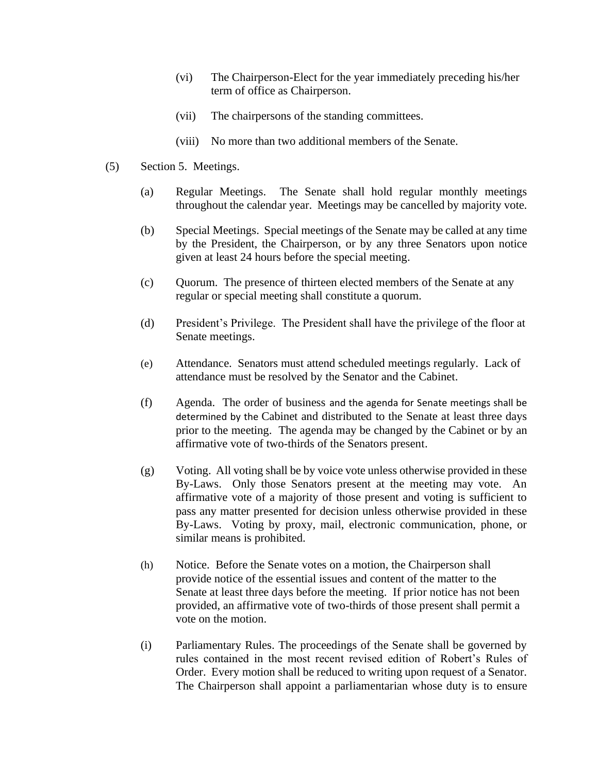- (vi) The Chairperson-Elect for the year immediately preceding his/her term of office as Chairperson.
- (vii) The chairpersons of the standing committees.
- (viii) No more than two additional members of the Senate.
- (5) Section 5. Meetings.
	- (a) Regular Meetings. The Senate shall hold regular monthly meetings throughout the calendar year. Meetings may be cancelled by majority vote.
	- (b) Special Meetings. Special meetings of the Senate may be called at any time by the President, the Chairperson, or by any three Senators upon notice given at least 24 hours before the special meeting.
	- (c) Quorum. The presence of thirteen elected members of the Senate at any regular or special meeting shall constitute a quorum.
	- (d) President's Privilege. The President shall have the privilege of the floor at Senate meetings.
	- (e) Attendance. Senators must attend scheduled meetings regularly. Lack of attendance must be resolved by the Senator and the Cabinet.
	- (f) Agenda. The order of business and the agenda for Senate meetings shall be determined by the Cabinet and distributed to the Senate at least three days prior to the meeting. The agenda may be changed by the Cabinet or by an affirmative vote of two-thirds of the Senators present.
	- (g) Voting.All voting shall be by voice vote unless otherwise provided in these By-Laws. Only those Senators present at the meeting may vote. An affirmative vote of a majority of those present and voting is sufficient to pass any matter presented for decision unless otherwise provided in these By-Laws. Voting by proxy, mail, electronic communication, phone, or similar means is prohibited.
	- (h) Notice.Before the Senate votes on a motion, the Chairperson shall provide notice of the essential issues and content of the matter to the Senate at least three days before the meeting. If prior notice has not been provided, an affirmative vote of two-thirds of those present shall permit a vote on the motion.
	- (i) Parliamentary Rules. The proceedings of the Senate shall be governed by rules contained in the most recent revised edition of Robert's Rules of Order. Every motion shall be reduced to writing upon request of a Senator. The Chairperson shall appoint a parliamentarian whose duty is to ensure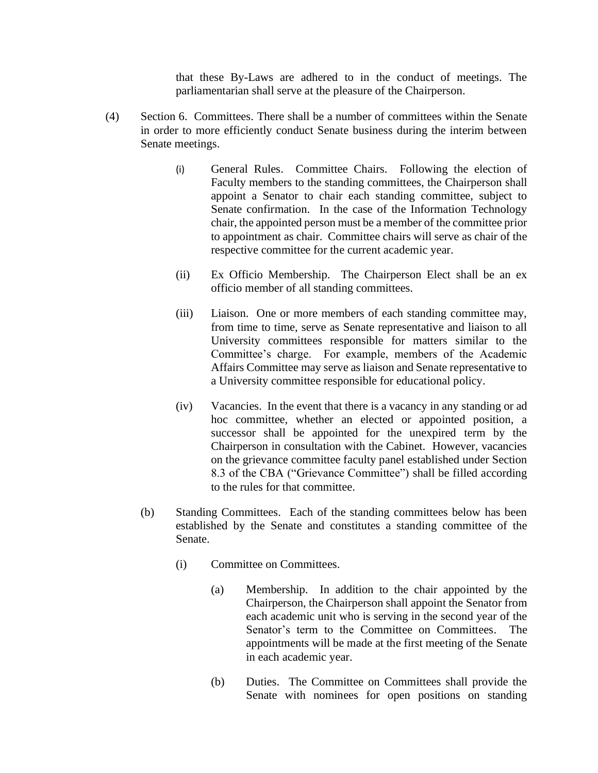that these By-Laws are adhered to in the conduct of meetings. The parliamentarian shall serve at the pleasure of the Chairperson.

- (4) Section 6. Committees. There shall be a number of committees within the Senate in order to more efficiently conduct Senate business during the interim between Senate meetings.
	- (i) General Rules. Committee Chairs. Following the election of Faculty members to the standing committees, the Chairperson shall appoint a Senator to chair each standing committee, subject to Senate confirmation. In the case of the Information Technology chair, the appointed person must be a member of the committee prior to appointment as chair. Committee chairs will serve as chair of the respective committee for the current academic year.
	- (ii) Ex Officio Membership. The Chairperson Elect shall be an ex officio member of all standing committees.
	- (iii) Liaison. One or more members of each standing committee may, from time to time, serve as Senate representative and liaison to all University committees responsible for matters similar to the Committee's charge. For example, members of the Academic Affairs Committee may serve as liaison and Senate representative to a University committee responsible for educational policy.
	- (iv) Vacancies. In the event that there is a vacancy in any standing or ad hoc committee, whether an elected or appointed position, a successor shall be appointed for the unexpired term by the Chairperson in consultation with the Cabinet. However, vacancies on the grievance committee faculty panel established under Section 8.3 of the CBA ("Grievance Committee") shall be filled according to the rules for that committee.
	- (b) Standing Committees. Each of the standing committees below has been established by the Senate and constitutes a standing committee of the Senate.
		- (i) Committee on Committees.
			- (a) Membership. In addition to the chair appointed by the Chairperson, the Chairperson shall appoint the Senator from each academic unit who is serving in the second year of the Senator's term to the Committee on Committees. The appointments will be made at the first meeting of the Senate in each academic year.
			- (b) Duties. The Committee on Committees shall provide the Senate with nominees for open positions on standing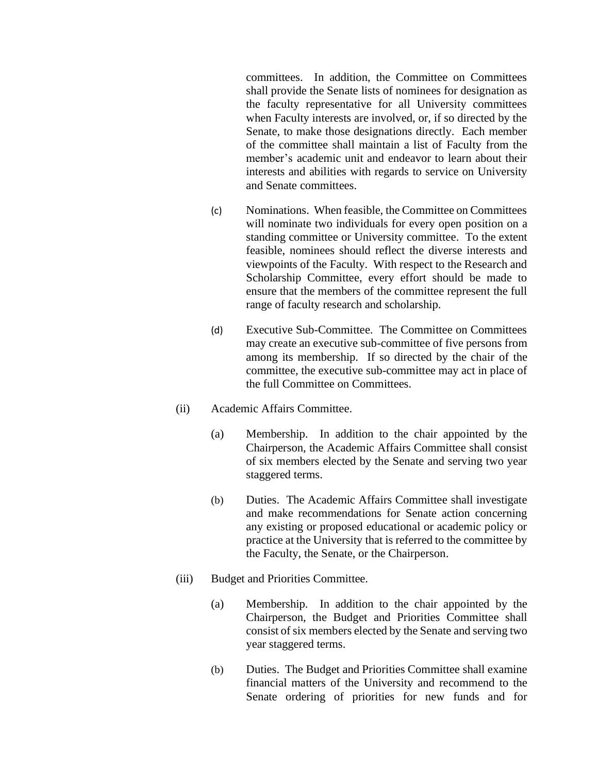committees. In addition, the Committee on Committees shall provide the Senate lists of nominees for designation as the faculty representative for all University committees when Faculty interests are involved, or, if so directed by the Senate, to make those designations directly. Each member of the committee shall maintain a list of Faculty from the member's academic unit and endeavor to learn about their interests and abilities with regards to service on University and Senate committees.

- (c) Nominations. When feasible, the Committee on Committees will nominate two individuals for every open position on a standing committee or University committee. To the extent feasible, nominees should reflect the diverse interests and viewpoints of the Faculty. With respect to the Research and Scholarship Committee, every effort should be made to ensure that the members of the committee represent the full range of faculty research and scholarship.
- (d) Executive Sub-Committee. The Committee on Committees may create an executive sub-committee of five persons from among its membership. If so directed by the chair of the committee, the executive sub-committee may act in place of the full Committee on Committees.
- (ii) Academic Affairs Committee.
	- (a) Membership. In addition to the chair appointed by the Chairperson, the Academic Affairs Committee shall consist of six members elected by the Senate and serving two year staggered terms.
	- (b) Duties. The Academic Affairs Committee shall investigate and make recommendations for Senate action concerning any existing or proposed educational or academic policy or practice at the University that is referred to the committee by the Faculty, the Senate, or the Chairperson.
- (iii) Budget and Priorities Committee.
	- (a) Membership. In addition to the chair appointed by the Chairperson, the Budget and Priorities Committee shall consist of six members elected by the Senate and serving two year staggered terms.
	- (b) Duties. The Budget and Priorities Committee shall examine financial matters of the University and recommend to the Senate ordering of priorities for new funds and for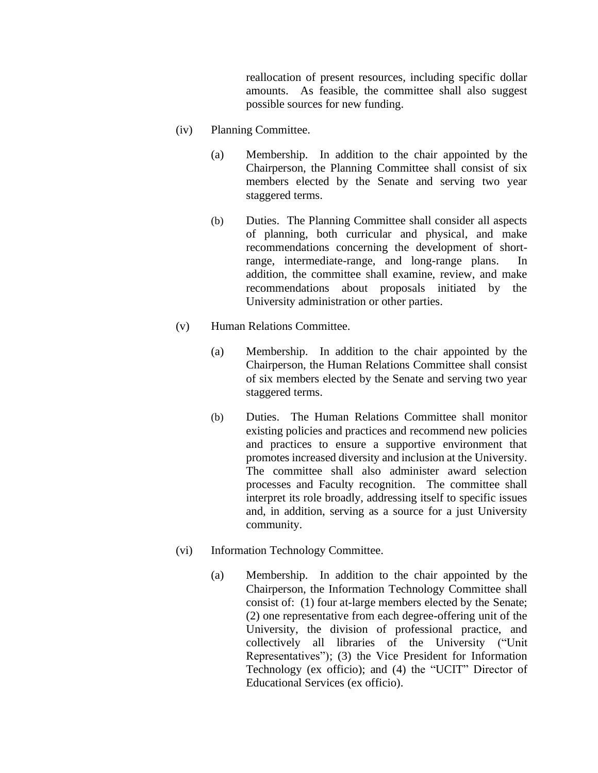reallocation of present resources, including specific dollar amounts. As feasible, the committee shall also suggest possible sources for new funding.

- (iv) Planning Committee.
	- (a) Membership. In addition to the chair appointed by the Chairperson, the Planning Committee shall consist of six members elected by the Senate and serving two year staggered terms.
	- (b) Duties. The Planning Committee shall consider all aspects of planning, both curricular and physical, and make recommendations concerning the development of shortrange, intermediate-range, and long-range plans. addition, the committee shall examine, review, and make recommendations about proposals initiated by the University administration or other parties.
- (v) Human Relations Committee.
	- (a) Membership. In addition to the chair appointed by the Chairperson, the Human Relations Committee shall consist of six members elected by the Senate and serving two year staggered terms.
	- (b) Duties. The Human Relations Committee shall monitor existing policies and practices and recommend new policies and practices to ensure a supportive environment that promotes increased diversity and inclusion at the University. The committee shall also administer award selection processes and Faculty recognition. The committee shall interpret its role broadly, addressing itself to specific issues and, in addition, serving as a source for a just University community.
- (vi) Information Technology Committee.
	- (a) Membership. In addition to the chair appointed by the Chairperson, the Information Technology Committee shall consist of: (1) four at-large members elected by the Senate; (2) one representative from each degree-offering unit of the University, the division of professional practice, and collectively all libraries of the University ("Unit Representatives"); (3) the Vice President for Information Technology (ex officio); and (4) the "UCIT" Director of Educational Services (ex officio).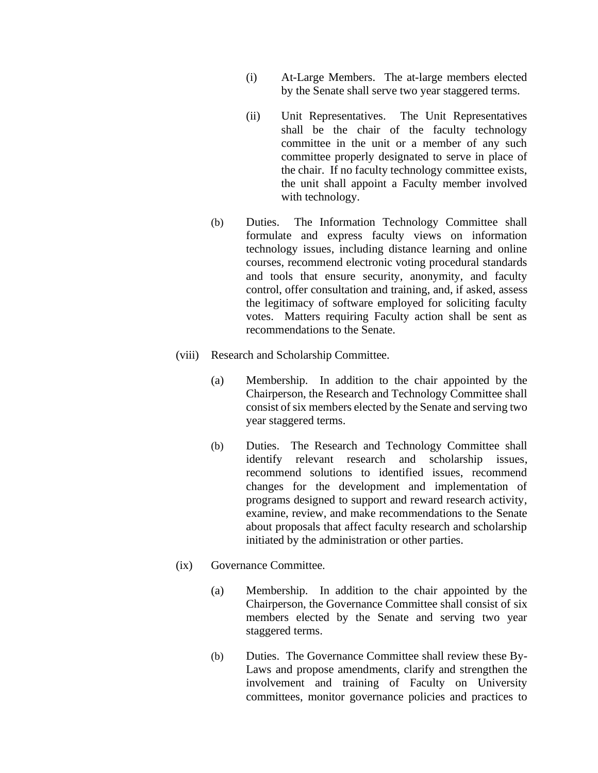- (i) At-Large Members. The at-large members elected by the Senate shall serve two year staggered terms.
- (ii) Unit Representatives. The Unit Representatives shall be the chair of the faculty technology committee in the unit or a member of any such committee properly designated to serve in place of the chair. If no faculty technology committee exists, the unit shall appoint a Faculty member involved with technology.
- (b) Duties. The Information Technology Committee shall formulate and express faculty views on information technology issues, including distance learning and online courses, recommend electronic voting procedural standards and tools that ensure security, anonymity, and faculty control, offer consultation and training, and, if asked, assess the legitimacy of software employed for soliciting faculty votes. Matters requiring Faculty action shall be sent as recommendations to the Senate.
- (viii) Research and Scholarship Committee.
	- (a) Membership. In addition to the chair appointed by the Chairperson, the Research and Technology Committee shall consist of six members elected by the Senate and serving two year staggered terms.
	- (b) Duties. The Research and Technology Committee shall identify relevant research and scholarship issues, recommend solutions to identified issues, recommend changes for the development and implementation of programs designed to support and reward research activity, examine, review, and make recommendations to the Senate about proposals that affect faculty research and scholarship initiated by the administration or other parties.
- (ix) Governance Committee.
	- (a) Membership. In addition to the chair appointed by the Chairperson, the Governance Committee shall consist of six members elected by the Senate and serving two year staggered terms.
	- (b) Duties. The Governance Committee shall review these By-Laws and propose amendments, clarify and strengthen the involvement and training of Faculty on University committees, monitor governance policies and practices to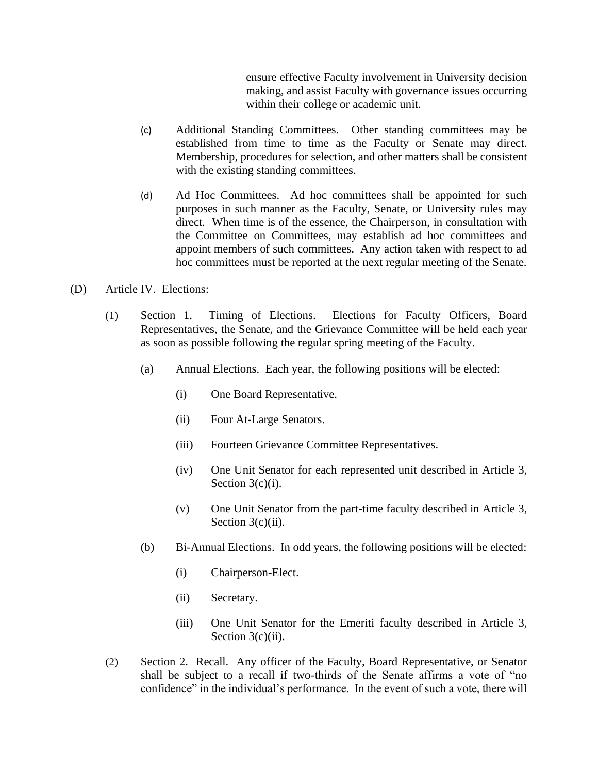ensure effective Faculty involvement in University decision making, and assist Faculty with governance issues occurring within their college or academic unit.

- (c) Additional Standing Committees. Other standing committees may be established from time to time as the Faculty or Senate may direct. Membership, procedures for selection, and other matters shall be consistent with the existing standing committees.
- (d) Ad Hoc Committees. Ad hoc committees shall be appointed for such purposes in such manner as the Faculty, Senate, or University rules may direct. When time is of the essence, the Chairperson, in consultation with the Committee on Committees, may establish ad hoc committees and appoint members of such committees. Any action taken with respect to ad hoc committees must be reported at the next regular meeting of the Senate.
- (D) Article IV. Elections:
	- (1) Section 1. Timing of Elections. Elections for Faculty Officers, Board Representatives, the Senate, and the Grievance Committee will be held each year as soon as possible following the regular spring meeting of the Faculty.
		- (a) Annual Elections. Each year, the following positions will be elected:
			- (i) One Board Representative.
			- (ii) Four At-Large Senators.
			- (iii) Fourteen Grievance Committee Representatives.
			- (iv) One Unit Senator for each represented unit described in Article 3, Section 3(c)(i).
			- (v) One Unit Senator from the part-time faculty described in Article 3, Section  $3(c)(ii)$ .
		- (b) Bi-Annual Elections. In odd years, the following positions will be elected:
			- (i) Chairperson-Elect.
			- (ii) Secretary.
			- (iii) One Unit Senator for the Emeriti faculty described in Article 3, Section  $3(c)(ii)$ .
	- (2) Section 2. Recall. Any officer of the Faculty, Board Representative, or Senator shall be subject to a recall if two-thirds of the Senate affirms a vote of "no confidence" in the individual's performance. In the event of such a vote, there will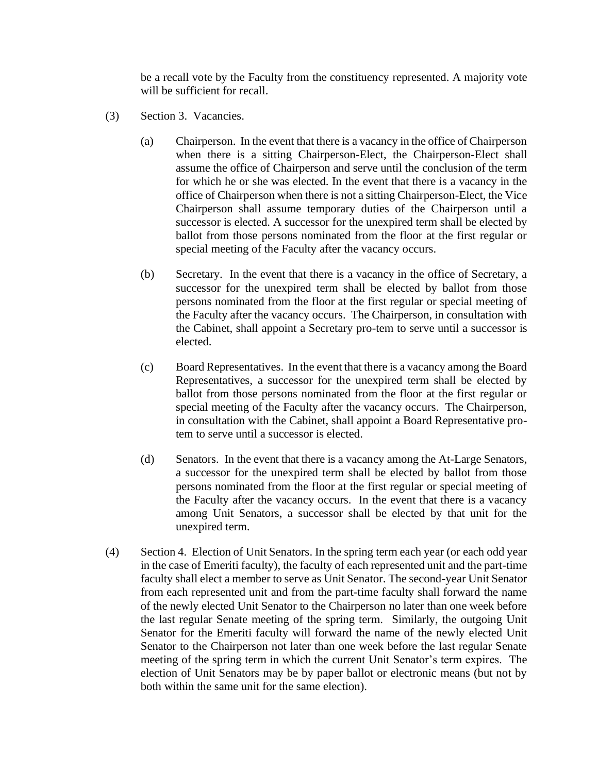be a recall vote by the Faculty from the constituency represented. A majority vote will be sufficient for recall.

- (3) Section 3. Vacancies.
	- (a) Chairperson. In the event that there is a vacancy in the office of Chairperson when there is a sitting Chairperson-Elect, the Chairperson-Elect shall assume the office of Chairperson and serve until the conclusion of the term for which he or she was elected. In the event that there is a vacancy in the office of Chairperson when there is not a sitting Chairperson-Elect, the Vice Chairperson shall assume temporary duties of the Chairperson until a successor is elected. A successor for the unexpired term shall be elected by ballot from those persons nominated from the floor at the first regular or special meeting of the Faculty after the vacancy occurs.
	- (b) Secretary. In the event that there is a vacancy in the office of Secretary, a successor for the unexpired term shall be elected by ballot from those persons nominated from the floor at the first regular or special meeting of the Faculty after the vacancy occurs. The Chairperson, in consultation with the Cabinet, shall appoint a Secretary pro-tem to serve until a successor is elected.
	- (c) Board Representatives. In the event that there is a vacancy among the Board Representatives, a successor for the unexpired term shall be elected by ballot from those persons nominated from the floor at the first regular or special meeting of the Faculty after the vacancy occurs. The Chairperson, in consultation with the Cabinet, shall appoint a Board Representative protem to serve until a successor is elected.
	- (d) Senators. In the event that there is a vacancy among the At-Large Senators, a successor for the unexpired term shall be elected by ballot from those persons nominated from the floor at the first regular or special meeting of the Faculty after the vacancy occurs. In the event that there is a vacancy among Unit Senators, a successor shall be elected by that unit for the unexpired term.
- (4) Section 4. Election of Unit Senators. In the spring term each year (or each odd year in the case of Emeriti faculty), the faculty of each represented unit and the part-time faculty shall elect a member to serve as Unit Senator. The second-year Unit Senator from each represented unit and from the part-time faculty shall forward the name of the newly elected Unit Senator to the Chairperson no later than one week before the last regular Senate meeting of the spring term. Similarly, the outgoing Unit Senator for the Emeriti faculty will forward the name of the newly elected Unit Senator to the Chairperson not later than one week before the last regular Senate meeting of the spring term in which the current Unit Senator's term expires. The election of Unit Senators may be by paper ballot or electronic means (but not by both within the same unit for the same election).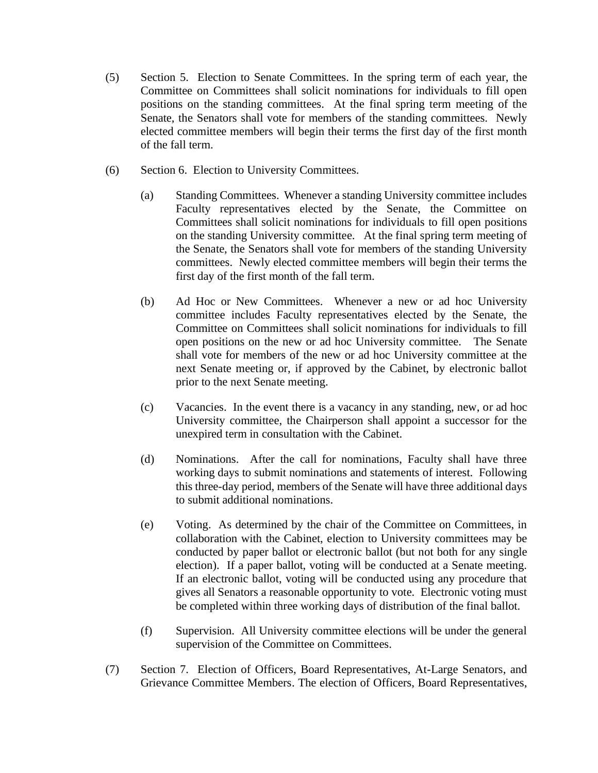- (5) Section 5. Election to Senate Committees. In the spring term of each year, the Committee on Committees shall solicit nominations for individuals to fill open positions on the standing committees. At the final spring term meeting of the Senate, the Senators shall vote for members of the standing committees. Newly elected committee members will begin their terms the first day of the first month of the fall term.
- (6) Section 6. Election to University Committees.
	- (a) Standing Committees. Whenever a standing University committee includes Faculty representatives elected by the Senate, the Committee on Committees shall solicit nominations for individuals to fill open positions on the standing University committee. At the final spring term meeting of the Senate, the Senators shall vote for members of the standing University committees. Newly elected committee members will begin their terms the first day of the first month of the fall term.
	- (b) Ad Hoc or New Committees. Whenever a new or ad hoc University committee includes Faculty representatives elected by the Senate, the Committee on Committees shall solicit nominations for individuals to fill open positions on the new or ad hoc University committee. The Senate shall vote for members of the new or ad hoc University committee at the next Senate meeting or, if approved by the Cabinet, by electronic ballot prior to the next Senate meeting.
	- (c) Vacancies. In the event there is a vacancy in any standing, new, or ad hoc University committee, the Chairperson shall appoint a successor for the unexpired term in consultation with the Cabinet.
	- (d) Nominations. After the call for nominations, Faculty shall have three working days to submit nominations and statements of interest. Following this three-day period, members of the Senate will have three additional days to submit additional nominations.
	- (e) Voting. As determined by the chair of the Committee on Committees, in collaboration with the Cabinet, election to University committees may be conducted by paper ballot or electronic ballot (but not both for any single election). If a paper ballot, voting will be conducted at a Senate meeting. If an electronic ballot, voting will be conducted using any procedure that gives all Senators a reasonable opportunity to vote. Electronic voting must be completed within three working days of distribution of the final ballot.
	- (f) Supervision. All University committee elections will be under the general supervision of the Committee on Committees.
- (7) Section 7. Election of Officers, Board Representatives, At-Large Senators, and Grievance Committee Members. The election of Officers, Board Representatives,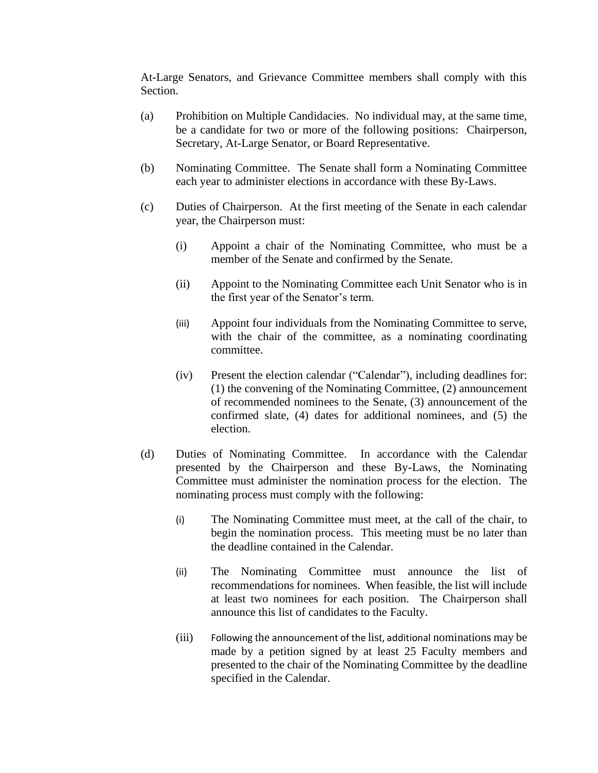At-Large Senators, and Grievance Committee members shall comply with this Section.

- (a) Prohibition on Multiple Candidacies. No individual may, at the same time, be a candidate for two or more of the following positions: Chairperson, Secretary, At-Large Senator, or Board Representative.
- (b) Nominating Committee. The Senate shall form a Nominating Committee each year to administer elections in accordance with these By-Laws.
- (c) Duties of Chairperson. At the first meeting of the Senate in each calendar year, the Chairperson must:
	- (i) Appoint a chair of the Nominating Committee, who must be a member of the Senate and confirmed by the Senate.
	- (ii) Appoint to the Nominating Committee each Unit Senator who is in the first year of the Senator's term.
	- (iii) Appoint four individuals from the Nominating Committee to serve, with the chair of the committee, as a nominating coordinating committee.
	- (iv) Present the election calendar ("Calendar"), including deadlines for: (1) the convening of the Nominating Committee, (2) announcement of recommended nominees to the Senate, (3) announcement of the confirmed slate, (4) dates for additional nominees, and (5) the election.
- (d) Duties of Nominating Committee. In accordance with the Calendar presented by the Chairperson and these By-Laws, the Nominating Committee must administer the nomination process for the election. The nominating process must comply with the following:
	- (i) The Nominating Committee must meet, at the call of the chair, to begin the nomination process. This meeting must be no later than the deadline contained in the Calendar.
	- (ii) The Nominating Committee must announce the list of recommendations for nominees. When feasible, the list will include at least two nominees for each position. The Chairperson shall announce this list of candidates to the Faculty.
	- (iii) Following the announcement of the list, additional nominations may be made by a petition signed by at least 25 Faculty members and presented to the chair of the Nominating Committee by the deadline specified in the Calendar.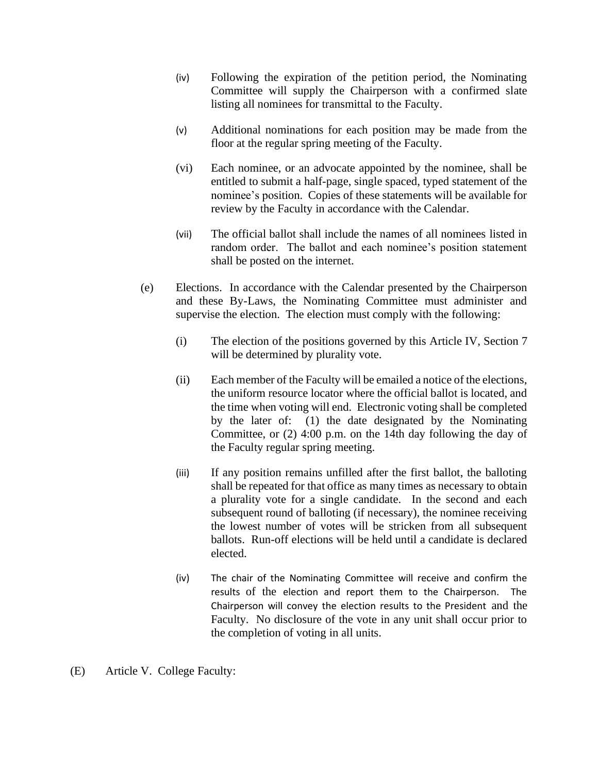- (iv) Following the expiration of the petition period, the Nominating Committee will supply the Chairperson with a confirmed slate listing all nominees for transmittal to the Faculty.
- (v) Additional nominations for each position may be made from the floor at the regular spring meeting of the Faculty.
- (vi) Each nominee, or an advocate appointed by the nominee, shall be entitled to submit a half-page, single spaced, typed statement of the nominee's position. Copies of these statements will be available for review by the Faculty in accordance with the Calendar.
- (vii) The official ballot shall include the names of all nominees listed in random order. The ballot and each nominee's position statement shall be posted on the internet.
- (e) Elections. In accordance with the Calendar presented by the Chairperson and these By-Laws, the Nominating Committee must administer and supervise the election. The election must comply with the following:
	- (i) The election of the positions governed by this Article IV, Section 7 will be determined by plurality vote.
	- (ii) Each member of the Faculty will be emailed a notice of the elections, the uniform resource locator where the official ballot is located, and the time when voting will end. Electronic voting shall be completed by the later of: (1) the date designated by the Nominating Committee, or (2) 4:00 p.m. on the 14th day following the day of the Faculty regular spring meeting.
	- (iii) If any position remains unfilled after the first ballot, the balloting shall be repeated for that office as many times as necessary to obtain a plurality vote for a single candidate. In the second and each subsequent round of balloting (if necessary), the nominee receiving the lowest number of votes will be stricken from all subsequent ballots. Run-off elections will be held until a candidate is declared elected.
	- (iv) The chair of the Nominating Committee will receive and confirm the results of the election and report them to the Chairperson. The Chairperson will convey the election results to the President and the Faculty. No disclosure of the vote in any unit shall occur prior to the completion of voting in all units.
- (E) Article V. College Faculty: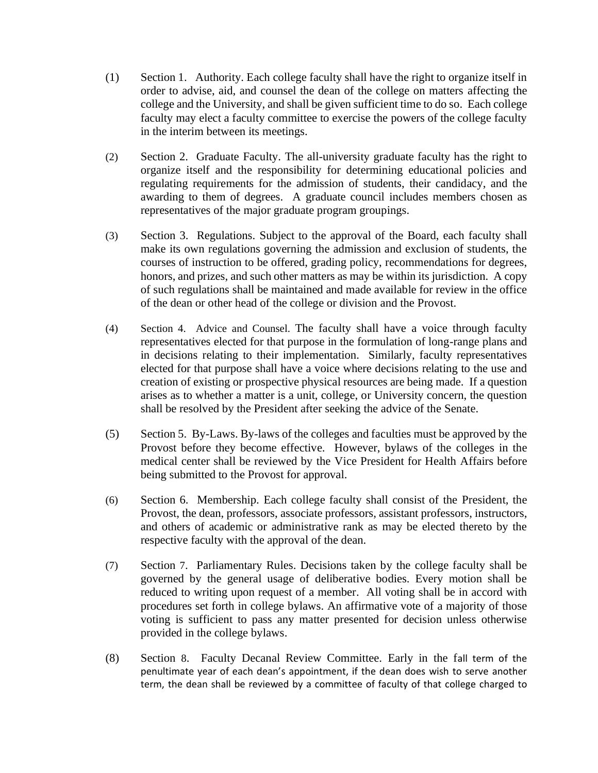- (1) Section 1. Authority. Each college faculty shall have the right to organize itself in order to advise, aid, and counsel the dean of the college on matters affecting the college and the University, and shall be given sufficient time to do so. Each college faculty may elect a faculty committee to exercise the powers of the college faculty in the interim between its meetings.
- (2) Section 2. Graduate Faculty. The all-university graduate faculty has the right to organize itself and the responsibility for determining educational policies and regulating requirements for the admission of students, their candidacy, and the awarding to them of degrees. A graduate council includes members chosen as representatives of the major graduate program groupings.
- (3) Section 3. Regulations. Subject to the approval of the Board, each faculty shall make its own regulations governing the admission and exclusion of students, the courses of instruction to be offered, grading policy, recommendations for degrees, honors, and prizes, and such other matters as may be within its jurisdiction. A copy of such regulations shall be maintained and made available for review in the office of the dean or other head of the college or division and the Provost.
- (4) Section 4. Advice and Counsel. The faculty shall have a voice through faculty representatives elected for that purpose in the formulation of long-range plans and in decisions relating to their implementation. Similarly, faculty representatives elected for that purpose shall have a voice where decisions relating to the use and creation of existing or prospective physical resources are being made. If a question arises as to whether a matter is a unit, college, or University concern, the question shall be resolved by the President after seeking the advice of the Senate.
- (5) Section 5. By-Laws. By-laws of the colleges and faculties must be approved by the Provost before they become effective. However, bylaws of the colleges in the medical center shall be reviewed by the Vice President for Health Affairs before being submitted to the Provost for approval.
- (6) Section 6. Membership. Each college faculty shall consist of the President, the Provost, the dean, professors, associate professors, assistant professors, instructors, and others of academic or administrative rank as may be elected thereto by the respective faculty with the approval of the dean.
- (7) Section 7. Parliamentary Rules. Decisions taken by the college faculty shall be governed by the general usage of deliberative bodies. Every motion shall be reduced to writing upon request of a member. All voting shall be in accord with procedures set forth in college bylaws. An affirmative vote of a majority of those voting is sufficient to pass any matter presented for decision unless otherwise provided in the college bylaws.
- (8) Section 8. Faculty Decanal Review Committee. Early in the fall term of the penultimate year of each dean's appointment, if the dean does wish to serve another term, the dean shall be reviewed by a committee of faculty of that college charged to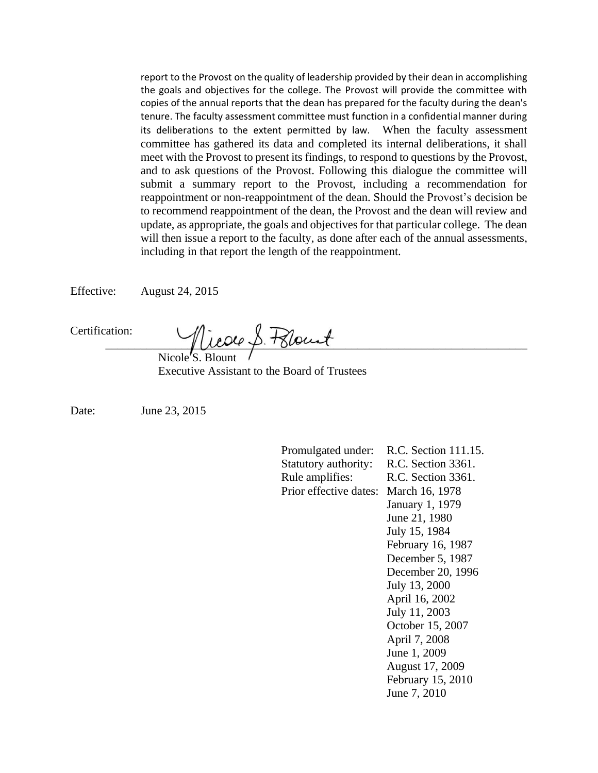report to the Provost on the quality of leadership provided by their dean in accomplishing the goals and objectives for the college. The Provost will provide the committee with copies of the annual reports that the dean has prepared for the faculty during the dean's tenure. The faculty assessment committee must function in a confidential manner during its deliberations to the extent permitted by law. When the faculty assessment committee has gathered its data and completed its internal deliberations, it shall meet with the Provost to present its findings, to respond to questions by the Provost, and to ask questions of the Provost. Following this dialogue the committee will submit a summary report to the Provost, including a recommendation for reappointment or non-reappointment of the dean. Should the Provost's decision be to recommend reappointment of the dean, the Provost and the dean will review and update, as appropriate, the goals and objectives for that particular college. The dean will then issue a report to the faculty, as done after each of the annual assessments, including in that report the length of the reappointment.

Effective: August 24, 2015

Certification:

Micoco S. Polount

Nicole'S. Blount Executive Assistant to the Board of Trustees

Date: June 23, 2015

Promulgated under: R.C. Section 111.15. Statutory authority: R.C. Section 3361. Rule amplifies: R.C. Section 3361. Prior effective dates: March 16, 1978 January 1, 1979 June 21, 1980 July 15, 1984 February 16, 1987 December 5, 1987 December 20, 1996 July 13, 2000 April 16, 2002 July 11, 2003 October 15, 2007 April 7, 2008 June 1, 2009 August 17, 2009 February 15, 2010 June 7, 2010